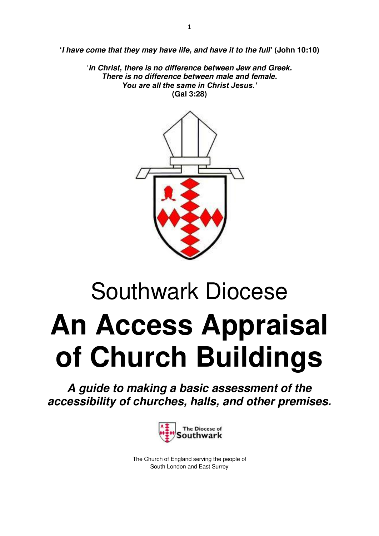**'***I have come that they may have life, and have it to the full***' (John 10:10)** 

'*In Christ, there is no difference between Jew and Greek. There is no difference between male and female. You are all the same in Christ Jesus.'* **(Gal 3:28)**



# Southwark Diocese **An Access Appraisal of Church Buildings**

*A guide to making a basic assessment of the accessibility of churches, halls, and other premises.* 



The Church of England serving the people of South London and East Surrey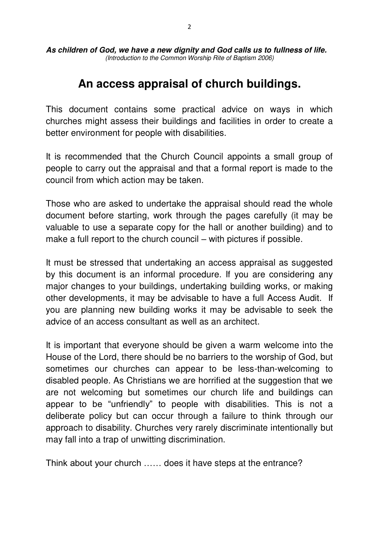*As children of God, we have a new dignity and God calls us to fullness of life. (Introduction to the Common Worship Rite of Baptism 2006)* 

# **An access appraisal of church buildings.**

This document contains some practical advice on ways in which churches might assess their buildings and facilities in order to create a better environment for people with disabilities.

It is recommended that the Church Council appoints a small group of people to carry out the appraisal and that a formal report is made to the council from which action may be taken.

Those who are asked to undertake the appraisal should read the whole document before starting, work through the pages carefully (it may be valuable to use a separate copy for the hall or another building) and to make a full report to the church council – with pictures if possible.

It must be stressed that undertaking an access appraisal as suggested by this document is an informal procedure. If you are considering any major changes to your buildings, undertaking building works, or making other developments, it may be advisable to have a full Access Audit. If you are planning new building works it may be advisable to seek the advice of an access consultant as well as an architect.

It is important that everyone should be given a warm welcome into the House of the Lord, there should be no barriers to the worship of God, but sometimes our churches can appear to be less-than-welcoming to disabled people. As Christians we are horrified at the suggestion that we are not welcoming but sometimes our church life and buildings can appear to be "unfriendly" to people with disabilities. This is not a deliberate policy but can occur through a failure to think through our approach to disability. Churches very rarely discriminate intentionally but may fall into a trap of unwitting discrimination.

Think about your church …… does it have steps at the entrance?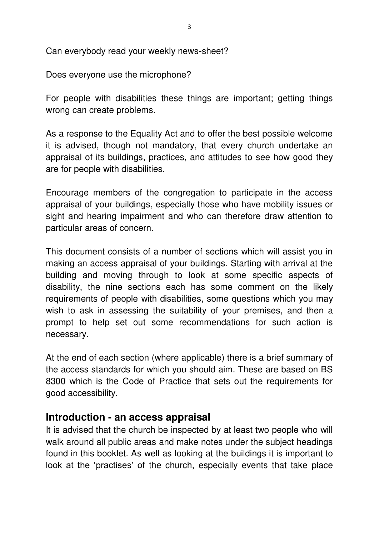Can everybody read your weekly news-sheet?

Does everyone use the microphone?

For people with disabilities these things are important; getting things wrong can create problems.

As a response to the Equality Act and to offer the best possible welcome it is advised, though not mandatory, that every church undertake an appraisal of its buildings, practices, and attitudes to see how good they are for people with disabilities.

Encourage members of the congregation to participate in the access appraisal of your buildings, especially those who have mobility issues or sight and hearing impairment and who can therefore draw attention to particular areas of concern.

This document consists of a number of sections which will assist you in making an access appraisal of your buildings. Starting with arrival at the building and moving through to look at some specific aspects of disability, the nine sections each has some comment on the likely requirements of people with disabilities, some questions which you may wish to ask in assessing the suitability of your premises, and then a prompt to help set out some recommendations for such action is necessary.

At the end of each section (where applicable) there is a brief summary of the access standards for which you should aim. These are based on BS 8300 which is the Code of Practice that sets out the requirements for good accessibility.

## **Introduction - an access appraisal**

It is advised that the church be inspected by at least two people who will walk around all public areas and make notes under the subject headings found in this booklet. As well as looking at the buildings it is important to look at the 'practises' of the church, especially events that take place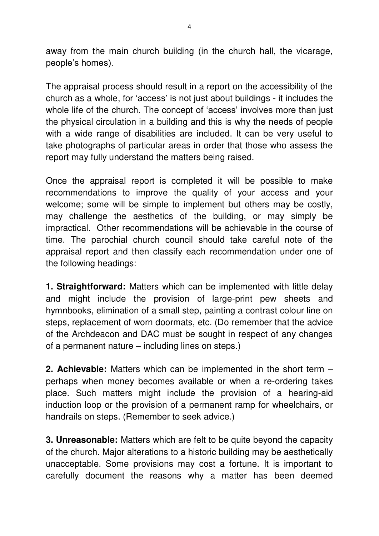away from the main church building (in the church hall, the vicarage, people's homes).

The appraisal process should result in a report on the accessibility of the church as a whole, for 'access' is not just about buildings - it includes the whole life of the church. The concept of 'access' involves more than just the physical circulation in a building and this is why the needs of people with a wide range of disabilities are included. It can be very useful to take photographs of particular areas in order that those who assess the report may fully understand the matters being raised.

Once the appraisal report is completed it will be possible to make recommendations to improve the quality of your access and your welcome; some will be simple to implement but others may be costly, may challenge the aesthetics of the building, or may simply be impractical. Other recommendations will be achievable in the course of time. The parochial church council should take careful note of the appraisal report and then classify each recommendation under one of the following headings:

**1. Straightforward:** Matters which can be implemented with little delay and might include the provision of large-print pew sheets and hymnbooks, elimination of a small step, painting a contrast colour line on steps, replacement of worn doormats, etc. (Do remember that the advice of the Archdeacon and DAC must be sought in respect of any changes of a permanent nature – including lines on steps.)

**2. Achievable:** Matters which can be implemented in the short term – perhaps when money becomes available or when a re-ordering takes place. Such matters might include the provision of a hearing-aid induction loop or the provision of a permanent ramp for wheelchairs, or handrails on steps. (Remember to seek advice.)

**3. Unreasonable:** Matters which are felt to be quite beyond the capacity of the church. Major alterations to a historic building may be aesthetically unacceptable. Some provisions may cost a fortune. It is important to carefully document the reasons why a matter has been deemed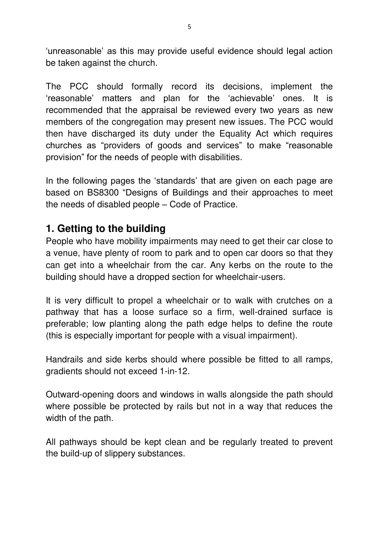'unreasonable' as this may provide useful evidence should legal action be taken against the church.

The PCC should formally record its decisions, implement the 'reasonable' matters and plan for the 'achievable' ones. It is recommended that the appraisal be reviewed every two years as new members of the congregation may present new issues. The PCC would then have discharged its duty under the Equality Act which requires churches as "providers of goods and services" to make "reasonable provision" for the needs of people with disabilities.

In the following pages the 'standards' that are given on each page are based on BS8300 "Designs of Buildings and their approaches to meet the needs of disabled people – Code of Practice.

# **1. Getting to the building**

People who have mobility impairments may need to get their car close to a venue, have plenty of room to park and to open car doors so that they can get into a wheelchair from the car. Any kerbs on the route to the building should have a dropped section for wheelchair-users.

It is very difficult to propel a wheelchair or to walk with crutches on a pathway that has a loose surface so a firm, well-drained surface is preferable; low planting along the path edge helps to define the route (this is especially important for people with a visual impairment).

Handrails and side kerbs should where possible be fitted to all ramps, gradients should not exceed 1-in-12.

Outward-opening doors and windows in walls alongside the path should where possible be protected by rails but not in a way that reduces the width of the path.

All pathways should be kept clean and be regularly treated to prevent the build-up of slippery substances.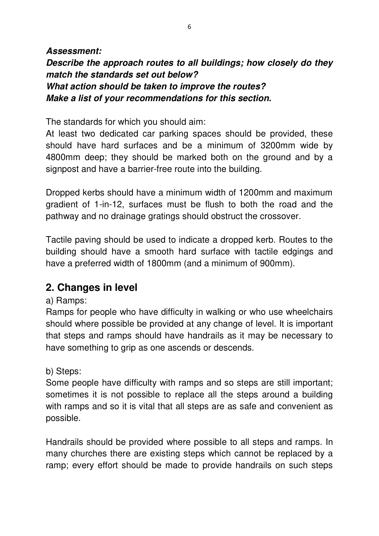## *Assessment: Describe the approach routes to all buildings; how closely do they match the standards set out below? What action should be taken to improve the routes? Make a list of your recommendations for this section.*

The standards for which you should aim:

At least two dedicated car parking spaces should be provided, these should have hard surfaces and be a minimum of 3200mm wide by 4800mm deep; they should be marked both on the ground and by a signpost and have a barrier-free route into the building.

Dropped kerbs should have a minimum width of 1200mm and maximum gradient of 1-in-12, surfaces must be flush to both the road and the pathway and no drainage gratings should obstruct the crossover.

Tactile paving should be used to indicate a dropped kerb. Routes to the building should have a smooth hard surface with tactile edgings and have a preferred width of 1800mm (and a minimum of 900mm).

# **2. Changes in level**

## a) Ramps:

Ramps for people who have difficulty in walking or who use wheelchairs should where possible be provided at any change of level. It is important that steps and ramps should have handrails as it may be necessary to have something to grip as one ascends or descends.

## b) Steps:

Some people have difficulty with ramps and so steps are still important; sometimes it is not possible to replace all the steps around a building with ramps and so it is vital that all steps are as safe and convenient as possible.

Handrails should be provided where possible to all steps and ramps. In many churches there are existing steps which cannot be replaced by a ramp; every effort should be made to provide handrails on such steps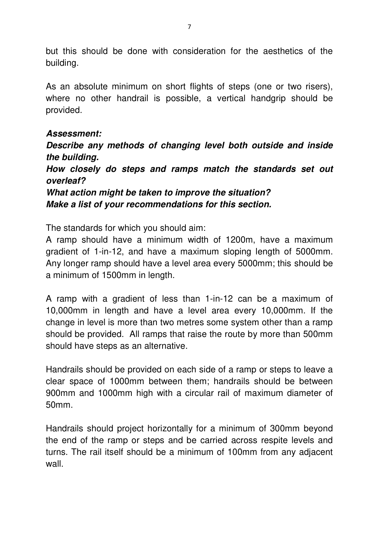but this should be done with consideration for the aesthetics of the building.

As an absolute minimum on short flights of steps (one or two risers), where no other handrail is possible, a vertical handgrip should be provided.

#### *Assessment:*

*Describe any methods of changing level both outside and inside the building.* 

*How closely do steps and ramps match the standards set out overleaf?* 

*What action might be taken to improve the situation? Make a list of your recommendations for this section.* 

The standards for which you should aim:

A ramp should have a minimum width of 1200m, have a maximum gradient of 1-in-12, and have a maximum sloping length of 5000mm. Any longer ramp should have a level area every 5000mm; this should be a minimum of 1500mm in length.

A ramp with a gradient of less than 1-in-12 can be a maximum of 10,000mm in length and have a level area every 10,000mm. If the change in level is more than two metres some system other than a ramp should be provided. All ramps that raise the route by more than 500mm should have steps as an alternative.

Handrails should be provided on each side of a ramp or steps to leave a clear space of 1000mm between them; handrails should be between 900mm and 1000mm high with a circular rail of maximum diameter of 50mm.

Handrails should project horizontally for a minimum of 300mm beyond the end of the ramp or steps and be carried across respite levels and turns. The rail itself should be a minimum of 100mm from any adjacent wall.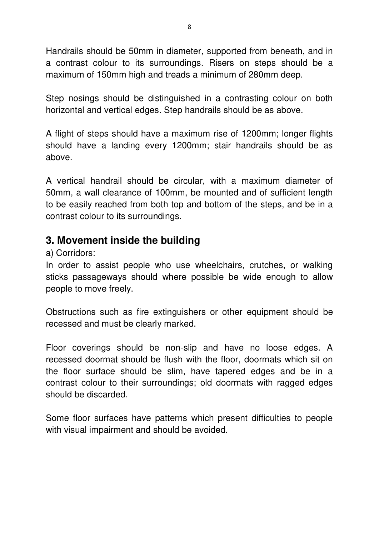Handrails should be 50mm in diameter, supported from beneath, and in a contrast colour to its surroundings. Risers on steps should be a maximum of 150mm high and treads a minimum of 280mm deep.

Step nosings should be distinguished in a contrasting colour on both horizontal and vertical edges. Step handrails should be as above.

A flight of steps should have a maximum rise of 1200mm; longer flights should have a landing every 1200mm; stair handrails should be as above.

A vertical handrail should be circular, with a maximum diameter of 50mm, a wall clearance of 100mm, be mounted and of sufficient length to be easily reached from both top and bottom of the steps, and be in a contrast colour to its surroundings.

# **3. Movement inside the building**

a) Corridors:

In order to assist people who use wheelchairs, crutches, or walking sticks passageways should where possible be wide enough to allow people to move freely.

Obstructions such as fire extinguishers or other equipment should be recessed and must be clearly marked.

Floor coverings should be non-slip and have no loose edges. A recessed doormat should be flush with the floor, doormats which sit on the floor surface should be slim, have tapered edges and be in a contrast colour to their surroundings; old doormats with ragged edges should be discarded.

Some floor surfaces have patterns which present difficulties to people with visual impairment and should be avoided.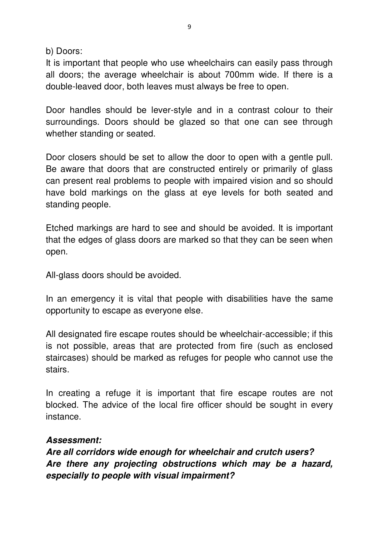b) Doors:

It is important that people who use wheelchairs can easily pass through all doors; the average wheelchair is about 700mm wide. If there is a double-leaved door, both leaves must always be free to open.

Door handles should be lever-style and in a contrast colour to their surroundings. Doors should be glazed so that one can see through whether standing or seated.

Door closers should be set to allow the door to open with a gentle pull. Be aware that doors that are constructed entirely or primarily of glass can present real problems to people with impaired vision and so should have bold markings on the glass at eye levels for both seated and standing people.

Etched markings are hard to see and should be avoided. It is important that the edges of glass doors are marked so that they can be seen when open.

All-glass doors should be avoided.

In an emergency it is vital that people with disabilities have the same opportunity to escape as everyone else.

All designated fire escape routes should be wheelchair-accessible; if this is not possible, areas that are protected from fire (such as enclosed staircases) should be marked as refuges for people who cannot use the stairs.

In creating a refuge it is important that fire escape routes are not blocked. The advice of the local fire officer should be sought in every instance.

#### *Assessment:*

*Are all corridors wide enough for wheelchair and crutch users? Are there any projecting obstructions which may be a hazard, especially to people with visual impairment?*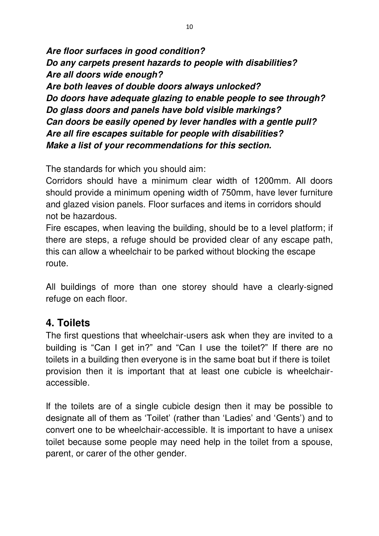*Are floor surfaces in good condition? Do any carpets present hazards to people with disabilities? Are all doors wide enough? Are both leaves of double doors always unlocked? Do doors have adequate glazing to enable people to see through? Do glass doors and panels have bold visible markings? Can doors be easily opened by lever handles with a gentle pull? Are all fire escapes suitable for people with disabilities? Make a list of your recommendations for this section.* 

The standards for which you should aim:

Corridors should have a minimum clear width of 1200mm. All doors should provide a minimum opening width of 750mm, have lever furniture and glazed vision panels. Floor surfaces and items in corridors should not be hazardous.

Fire escapes, when leaving the building, should be to a level platform; if there are steps, a refuge should be provided clear of any escape path, this can allow a wheelchair to be parked without blocking the escape route.

All buildings of more than one storey should have a clearly-signed refuge on each floor.

# **4. Toilets**

The first questions that wheelchair-users ask when they are invited to a building is "Can I get in?" and "Can I use the toilet?" If there are no toilets in a building then everyone is in the same boat but if there is toilet provision then it is important that at least one cubicle is wheelchairaccessible.

If the toilets are of a single cubicle design then it may be possible to designate all of them as 'Toilet' (rather than 'Ladies' and 'Gents') and to convert one to be wheelchair-accessible. It is important to have a unisex toilet because some people may need help in the toilet from a spouse, parent, or carer of the other gender.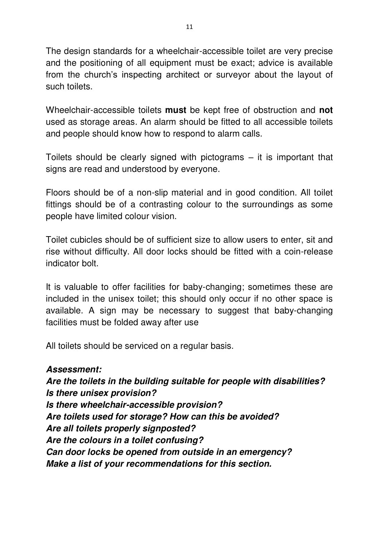The design standards for a wheelchair-accessible toilet are very precise and the positioning of all equipment must be exact; advice is available from the church's inspecting architect or surveyor about the layout of such toilets.

Wheelchair-accessible toilets **must** be kept free of obstruction and **not**  used as storage areas. An alarm should be fitted to all accessible toilets and people should know how to respond to alarm calls.

Toilets should be clearly signed with pictograms – it is important that signs are read and understood by everyone.

Floors should be of a non-slip material and in good condition. All toilet fittings should be of a contrasting colour to the surroundings as some people have limited colour vision.

Toilet cubicles should be of sufficient size to allow users to enter, sit and rise without difficulty. All door locks should be fitted with a coin-release indicator bolt.

It is valuable to offer facilities for baby-changing; sometimes these are included in the unisex toilet; this should only occur if no other space is available. A sign may be necessary to suggest that baby-changing facilities must be folded away after use

All toilets should be serviced on a regular basis.

## *Assessment:*

*Are the toilets in the building suitable for people with disabilities? Is there unisex provision? Is there wheelchair-accessible provision? Are toilets used for storage? How can this be avoided? Are all toilets properly signposted? Are the colours in a toilet confusing? Can door locks be opened from outside in an emergency? Make a list of your recommendations for this section.*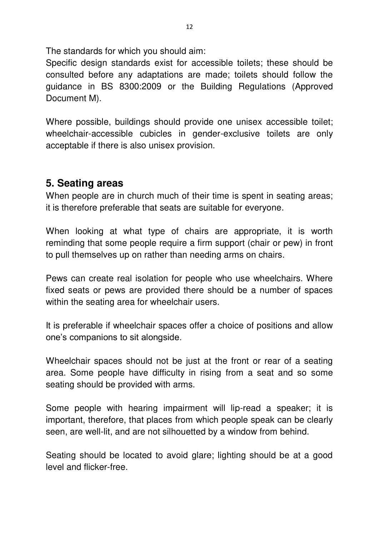The standards for which you should aim:

Specific design standards exist for accessible toilets; these should be consulted before any adaptations are made; toilets should follow the guidance in BS 8300:2009 or the Building Regulations (Approved Document M).

Where possible, buildings should provide one unisex accessible toilet; wheelchair-accessible cubicles in gender-exclusive toilets are only acceptable if there is also unisex provision.

# **5. Seating areas**

When people are in church much of their time is spent in seating areas; it is therefore preferable that seats are suitable for everyone.

When looking at what type of chairs are appropriate, it is worth reminding that some people require a firm support (chair or pew) in front to pull themselves up on rather than needing arms on chairs.

Pews can create real isolation for people who use wheelchairs. Where fixed seats or pews are provided there should be a number of spaces within the seating area for wheelchair users.

It is preferable if wheelchair spaces offer a choice of positions and allow one's companions to sit alongside.

Wheelchair spaces should not be just at the front or rear of a seating area. Some people have difficulty in rising from a seat and so some seating should be provided with arms.

Some people with hearing impairment will lip-read a speaker; it is important, therefore, that places from which people speak can be clearly seen, are well-lit, and are not silhouetted by a window from behind.

Seating should be located to avoid glare; lighting should be at a good level and flicker-free.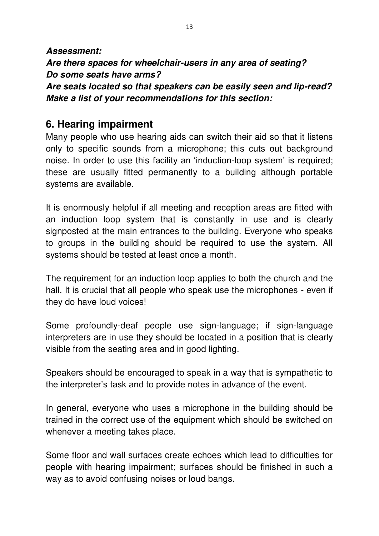*Assessment: Are there spaces for wheelchair-users in any area of seating? Do some seats have arms? Are seats located so that speakers can be easily seen and lip-read? Make a list of your recommendations for this section:* 

## **6. Hearing impairment**

Many people who use hearing aids can switch their aid so that it listens only to specific sounds from a microphone; this cuts out background noise. In order to use this facility an 'induction-loop system' is required; these are usually fitted permanently to a building although portable systems are available.

It is enormously helpful if all meeting and reception areas are fitted with an induction loop system that is constantly in use and is clearly signposted at the main entrances to the building. Everyone who speaks to groups in the building should be required to use the system. All systems should be tested at least once a month.

The requirement for an induction loop applies to both the church and the hall. It is crucial that all people who speak use the microphones - even if they do have loud voices!

Some profoundly-deaf people use sign-language; if sign-language interpreters are in use they should be located in a position that is clearly visible from the seating area and in good lighting.

Speakers should be encouraged to speak in a way that is sympathetic to the interpreter's task and to provide notes in advance of the event.

In general, everyone who uses a microphone in the building should be trained in the correct use of the equipment which should be switched on whenever a meeting takes place.

Some floor and wall surfaces create echoes which lead to difficulties for people with hearing impairment; surfaces should be finished in such a way as to avoid confusing noises or loud bangs.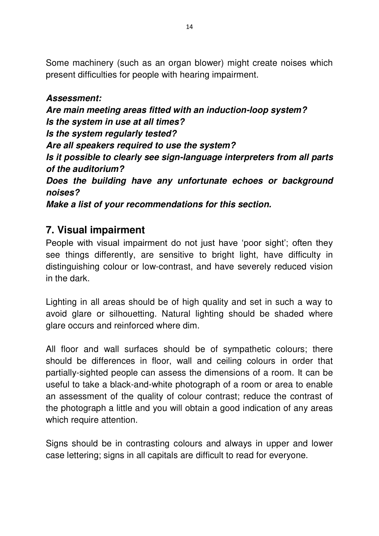Some machinery (such as an organ blower) might create noises which present difficulties for people with hearing impairment.

## *Assessment:*

*Are main meeting areas fitted with an induction-loop system? Is the system in use at all times? Is the system regularly tested? Are all speakers required to use the system? Is it possible to clearly see sign-language interpreters from all parts of the auditorium? Does the building have any unfortunate echoes or background noises? Make a list of your recommendations for this section.* 

# **7. Visual impairment**

People with visual impairment do not just have 'poor sight'; often they see things differently, are sensitive to bright light, have difficulty in distinguishing colour or low-contrast, and have severely reduced vision in the dark.

Lighting in all areas should be of high quality and set in such a way to avoid glare or silhouetting. Natural lighting should be shaded where glare occurs and reinforced where dim.

All floor and wall surfaces should be of sympathetic colours; there should be differences in floor, wall and ceiling colours in order that partially-sighted people can assess the dimensions of a room. It can be useful to take a black-and-white photograph of a room or area to enable an assessment of the quality of colour contrast; reduce the contrast of the photograph a little and you will obtain a good indication of any areas which require attention.

Signs should be in contrasting colours and always in upper and lower case lettering; signs in all capitals are difficult to read for everyone.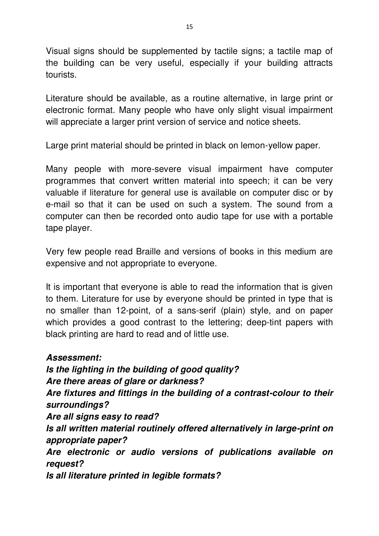Visual signs should be supplemented by tactile signs; a tactile map of the building can be very useful, especially if your building attracts tourists.

Literature should be available, as a routine alternative, in large print or electronic format. Many people who have only slight visual impairment will appreciate a larger print version of service and notice sheets.

Large print material should be printed in black on lemon-yellow paper.

Many people with more-severe visual impairment have computer programmes that convert written material into speech; it can be very valuable if literature for general use is available on computer disc or by e-mail so that it can be used on such a system. The sound from a computer can then be recorded onto audio tape for use with a portable tape player.

Very few people read Braille and versions of books in this medium are expensive and not appropriate to everyone.

It is important that everyone is able to read the information that is given to them. Literature for use by everyone should be printed in type that is no smaller than 12-point, of a sans-serif (plain) style, and on paper which provides a good contrast to the lettering; deep-tint papers with black printing are hard to read and of little use.

*Assessment: Is the lighting in the building of good quality? Are there areas of glare or darkness? Are fixtures and fittings in the building of a contrast-colour to their surroundings? Are all signs easy to read? Is all written material routinely offered alternatively in large-print on appropriate paper? Are electronic or audio versions of publications available on request? Is all literature printed in legible formats?*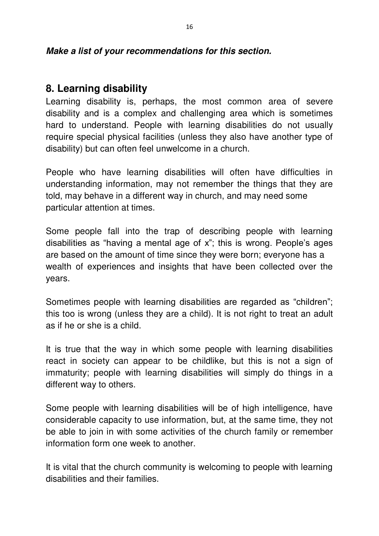#### *Make a list of your recommendations for this section.*

## **8. Learning disability**

Learning disability is, perhaps, the most common area of severe disability and is a complex and challenging area which is sometimes hard to understand. People with learning disabilities do not usually require special physical facilities (unless they also have another type of disability) but can often feel unwelcome in a church.

People who have learning disabilities will often have difficulties in understanding information, may not remember the things that they are told, may behave in a different way in church, and may need some particular attention at times.

Some people fall into the trap of describing people with learning disabilities as "having a mental age of x"; this is wrong. People's ages are based on the amount of time since they were born; everyone has a wealth of experiences and insights that have been collected over the years.

Sometimes people with learning disabilities are regarded as "children"; this too is wrong (unless they are a child). It is not right to treat an adult as if he or she is a child.

It is true that the way in which some people with learning disabilities react in society can appear to be childlike, but this is not a sign of immaturity; people with learning disabilities will simply do things in a different way to others.

Some people with learning disabilities will be of high intelligence, have considerable capacity to use information, but, at the same time, they not be able to join in with some activities of the church family or remember information form one week to another.

It is vital that the church community is welcoming to people with learning disabilities and their families.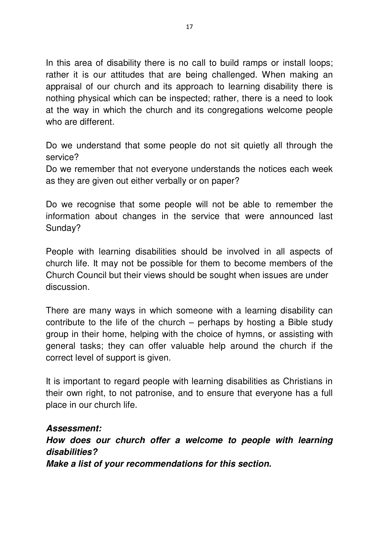In this area of disability there is no call to build ramps or install loops; rather it is our attitudes that are being challenged. When making an appraisal of our church and its approach to learning disability there is nothing physical which can be inspected; rather, there is a need to look at the way in which the church and its congregations welcome people who are different.

Do we understand that some people do not sit quietly all through the service?

Do we remember that not everyone understands the notices each week as they are given out either verbally or on paper?

Do we recognise that some people will not be able to remember the information about changes in the service that were announced last Sunday?

People with learning disabilities should be involved in all aspects of church life. It may not be possible for them to become members of the Church Council but their views should be sought when issues are under discussion.

There are many ways in which someone with a learning disability can contribute to the life of the church – perhaps by hosting a Bible study group in their home, helping with the choice of hymns, or assisting with general tasks; they can offer valuable help around the church if the correct level of support is given.

It is important to regard people with learning disabilities as Christians in their own right, to not patronise, and to ensure that everyone has a full place in our church life.

#### *Assessment:*

*How does our church offer a welcome to people with learning disabilities? Make a list of your recommendations for this section.*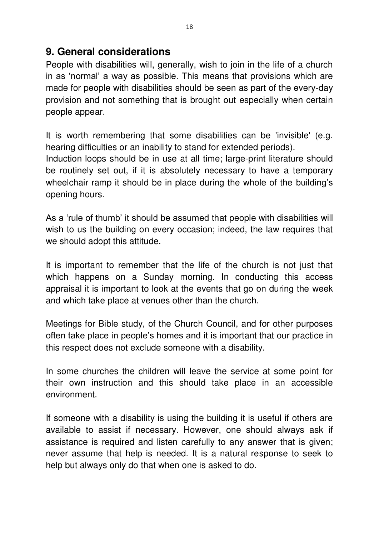## **9. General considerations**

People with disabilities will, generally, wish to join in the life of a church in as 'normal' a way as possible. This means that provisions which are made for people with disabilities should be seen as part of the every-day provision and not something that is brought out especially when certain people appear.

It is worth remembering that some disabilities can be 'invisible' (e.g. hearing difficulties or an inability to stand for extended periods). Induction loops should be in use at all time; large-print literature should be routinely set out, if it is absolutely necessary to have a temporary wheelchair ramp it should be in place during the whole of the building's opening hours.

As a 'rule of thumb' it should be assumed that people with disabilities will wish to us the building on every occasion; indeed, the law requires that we should adopt this attitude.

It is important to remember that the life of the church is not just that which happens on a Sunday morning. In conducting this access appraisal it is important to look at the events that go on during the week and which take place at venues other than the church.

Meetings for Bible study, of the Church Council, and for other purposes often take place in people's homes and it is important that our practice in this respect does not exclude someone with a disability.

In some churches the children will leave the service at some point for their own instruction and this should take place in an accessible environment.

If someone with a disability is using the building it is useful if others are available to assist if necessary. However, one should always ask if assistance is required and listen carefully to any answer that is given; never assume that help is needed. It is a natural response to seek to help but always only do that when one is asked to do.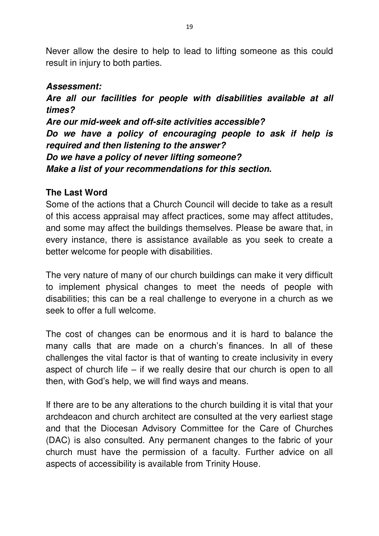Never allow the desire to help to lead to lifting someone as this could result in injury to both parties.

#### *Assessment:*

*Are all our facilities for people with disabilities available at all times?* 

*Are our mid-week and off-site activities accessible? Do we have a policy of encouraging people to ask if help is required and then listening to the answer? Do we have a policy of never lifting someone? Make a list of your recommendations for this section.*

#### **The Last Word**

Some of the actions that a Church Council will decide to take as a result of this access appraisal may affect practices, some may affect attitudes, and some may affect the buildings themselves. Please be aware that, in every instance, there is assistance available as you seek to create a better welcome for people with disabilities.

The very nature of many of our church buildings can make it very difficult to implement physical changes to meet the needs of people with disabilities; this can be a real challenge to everyone in a church as we seek to offer a full welcome.

The cost of changes can be enormous and it is hard to balance the many calls that are made on a church's finances. In all of these challenges the vital factor is that of wanting to create inclusivity in every aspect of church life – if we really desire that our church is open to all then, with God's help, we will find ways and means.

If there are to be any alterations to the church building it is vital that your archdeacon and church architect are consulted at the very earliest stage and that the Diocesan Advisory Committee for the Care of Churches (DAC) is also consulted. Any permanent changes to the fabric of your church must have the permission of a faculty. Further advice on all aspects of accessibility is available from Trinity House.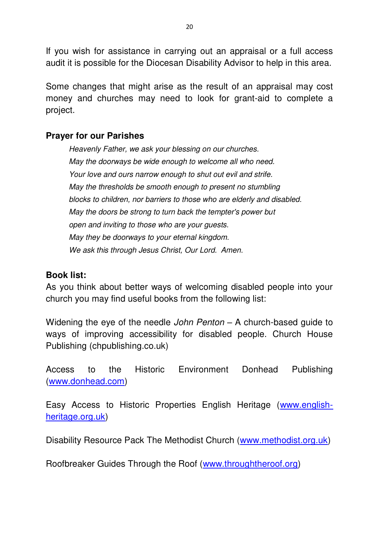If you wish for assistance in carrying out an appraisal or a full access audit it is possible for the Diocesan Disability Advisor to help in this area.

Some changes that might arise as the result of an appraisal may cost money and churches may need to look for grant-aid to complete a project.

#### **Prayer for our Parishes**

*Heavenly Father, we ask your blessing on our churches. May the doorways be wide enough to welcome all who need. Your love and ours narrow enough to shut out evil and strife. May the thresholds be smooth enough to present no stumbling blocks to children, nor barriers to those who are elderly and disabled. May the doors be strong to turn back the tempter's power but open and inviting to those who are your guests. May they be doorways to your eternal kingdom. We ask this through Jesus Christ, Our Lord. Amen.* 

#### **Book list:**

As you think about better ways of welcoming disabled people into your church you may find useful books from the following list:

Widening the eye of the needle *John Penton* – A church-based guide to ways of improving accessibility for disabled people. Church House Publishing (chpublishing.co.uk)

Access to the Historic Environment Donhead Publishing [\(www.donhead.com\)](http://www.donhead.com/)

Easy Access to Historic Properties English Heritage [\(www.english](http://www.english-heritage.org.uk/)[heritage.org.uk\)](http://www.english-heritage.org.uk/)

Disability Resource Pack The Methodist Church [\(www.methodist.org.uk\)](http://www.methodist.org.uk/)

Roofbreaker Guides Through the Roof [\(www.throughtheroof.org\)](http://www.throughtheroof.org/)